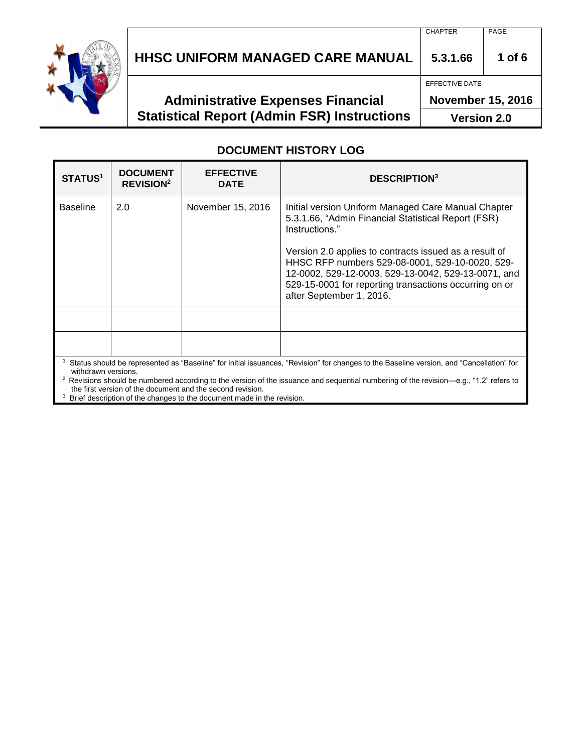

# **HHSC UNIFORM MANAGED CARE MANUAL 5.3.1.66 1 of 6**

# **Administrative Expenses Financial Statistical Report (Admin FSR) Instructions**

CHAPTER PAGE

EFFECTIVE DATE

**November 15, 2016**

**Version 2.0**

#### **DOCUMENT HISTORY LOG**

| <b>STATUS<sup>1</sup></b> | <b>DOCUMENT</b><br><b>REVISION<sup>2</sup></b> | <b>EFFECTIVE</b><br><b>DATE</b> | <b>DESCRIPTION</b> <sup>3</sup>                                                                                                                                                                                                                                                                                                                                                        |
|---------------------------|------------------------------------------------|---------------------------------|----------------------------------------------------------------------------------------------------------------------------------------------------------------------------------------------------------------------------------------------------------------------------------------------------------------------------------------------------------------------------------------|
| <b>Baseline</b>           | 2.0                                            | November 15, 2016               | Initial version Uniform Managed Care Manual Chapter<br>5.3.1.66, "Admin Financial Statistical Report (FSR)<br>Instructions."<br>Version 2.0 applies to contracts issued as a result of<br>HHSC RFP numbers 529-08-0001, 529-10-0020, 529-<br>12-0002, 529-12-0003, 529-13-0042, 529-13-0071, and<br>529-15-0001 for reporting transactions occurring on or<br>after September 1, 2016. |
|                           |                                                |                                 |                                                                                                                                                                                                                                                                                                                                                                                        |
|                           |                                                |                                 |                                                                                                                                                                                                                                                                                                                                                                                        |
| withdrawn versions.       |                                                |                                 | Status should be represented as "Baseline" for initial issuances, "Revision" for changes to the Baseline version, and "Cancellation" for                                                                                                                                                                                                                                               |

<sup>2</sup> Revisions should be numbered according to the version of the issuance and sequential numbering of the revision—e.g., "1.2" refers to the first version of the document and the second revision.

<sup>3</sup> Brief description of the changes to the document made in the revision.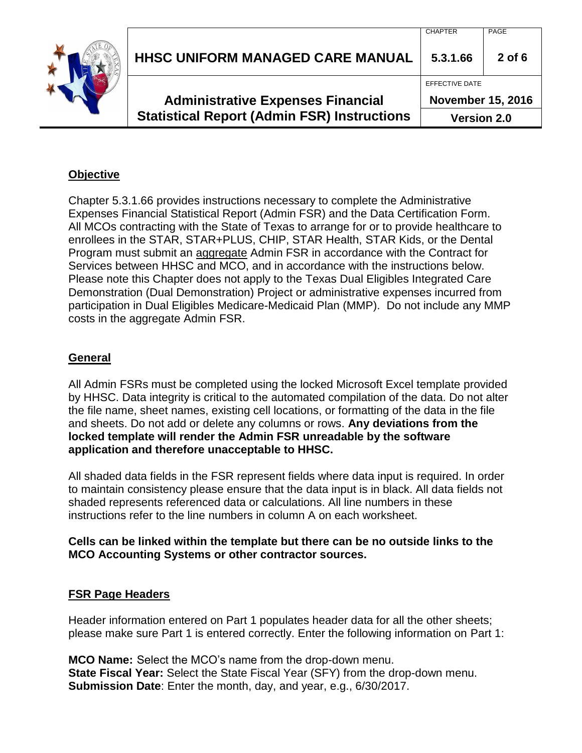| <b>Statistical Report (Admin FSR) Instructions</b> | <b>Version 2.0</b>       |          |
|----------------------------------------------------|--------------------------|----------|
| <b>Administrative Expenses Financial</b>           | <b>November 15, 2016</b> |          |
|                                                    | EFFECTIVE DATE           |          |
| <b>HHSC UNIFORM MANAGED CARE MANUAL</b>            | 5.3.1.66                 | $2$ of 6 |
|                                                    | <b>CHAPTER</b>           | PAGE     |

### **Objective**

Chapter 5.3.1.66 provides instructions necessary to complete the Administrative Expenses Financial Statistical Report (Admin FSR) and the Data Certification Form. All MCOs contracting with the State of Texas to arrange for or to provide healthcare to enrollees in the STAR, STAR+PLUS, CHIP, STAR Health, STAR Kids, or the Dental Program must submit an aggregate Admin FSR in accordance with the Contract for Services between HHSC and MCO, and in accordance with the instructions below. Please note this Chapter does not apply to the Texas Dual Eligibles Integrated Care Demonstration (Dual Demonstration) Project or administrative expenses incurred from participation in Dual Eligibles Medicare-Medicaid Plan (MMP). Do not include any MMP costs in the aggregate Admin FSR.

### **General**

All Admin FSRs must be completed using the locked Microsoft Excel template provided by HHSC. Data integrity is critical to the automated compilation of the data. Do not alter the file name, sheet names, existing cell locations, or formatting of the data in the file and sheets. Do not add or delete any columns or rows. **Any deviations from the locked template will render the Admin FSR unreadable by the software application and therefore unacceptable to HHSC.**

All shaded data fields in the FSR represent fields where data input is required. In order to maintain consistency please ensure that the data input is in black. All data fields not shaded represents referenced data or calculations. All line numbers in these instructions refer to the line numbers in column A on each worksheet.

#### **Cells can be linked within the template but there can be no outside links to the MCO Accounting Systems or other contractor sources.**

#### **FSR Page Headers**

Header information entered on Part 1 populates header data for all the other sheets; please make sure Part 1 is entered correctly. Enter the following information on Part 1:

**MCO Name:** Select the MCO's name from the drop-down menu. **State Fiscal Year:** Select the State Fiscal Year (SFY) from the drop-down menu. **Submission Date**: Enter the month, day, and year, e.g., 6/30/2017.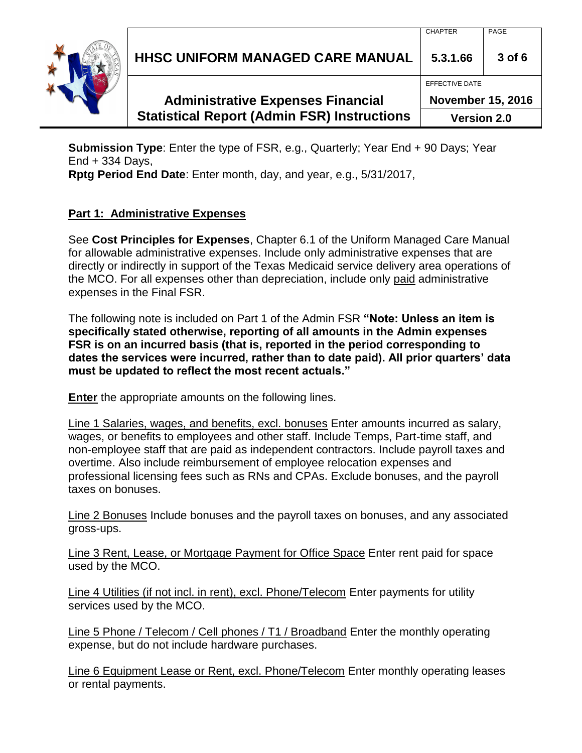**HHSC UNIFORM MANAGED CARE MANUAL 5.3.1.66 3 of 6**

# **Administrative Expenses Financial Statistical Report (Admin FSR) Instructions**

**November 15, 2016 Version 2.0**

CHAPTER PAGE

EFFECTIVE DATE

**Submission Type**: Enter the type of FSR, e.g., Quarterly; Year End + 90 Days; Year End + 334 Days,

**Rptg Period End Date**: Enter month, day, and year, e.g., 5/31/2017,

### **Part 1: Administrative Expenses**

See **Cost Principles for Expenses**, Chapter 6.1 of the Uniform Managed Care Manual for allowable administrative expenses. Include only administrative expenses that are directly or indirectly in support of the Texas Medicaid service delivery area operations of the MCO. For all expenses other than depreciation, include only paid administrative expenses in the Final FSR.

The following note is included on Part 1 of the Admin FSR **"Note: Unless an item is specifically stated otherwise, reporting of all amounts in the Admin expenses FSR is on an incurred basis (that is, reported in the period corresponding to dates the services were incurred, rather than to date paid). All prior quarters' data must be updated to reflect the most recent actuals."** 

**Enter** the appropriate amounts on the following lines.

Line 1 Salaries, wages, and benefits, excl. bonuses Enter amounts incurred as salary, wages, or benefits to employees and other staff. Include Temps, Part-time staff, and non-employee staff that are paid as independent contractors. Include payroll taxes and overtime. Also include reimbursement of employee relocation expenses and professional licensing fees such as RNs and CPAs. Exclude bonuses, and the payroll taxes on bonuses.

Line 2 Bonuses Include bonuses and the payroll taxes on bonuses, and any associated gross-ups.

Line 3 Rent, Lease, or Mortgage Payment for Office Space Enter rent paid for space used by the MCO.

Line 4 Utilities (if not incl. in rent), excl. Phone/Telecom Enter payments for utility services used by the MCO.

Line 5 Phone / Telecom / Cell phones / T1 / Broadband Enter the monthly operating expense, but do not include hardware purchases.

Line 6 Equipment Lease or Rent, excl. Phone/Telecom Enter monthly operating leases or rental payments.

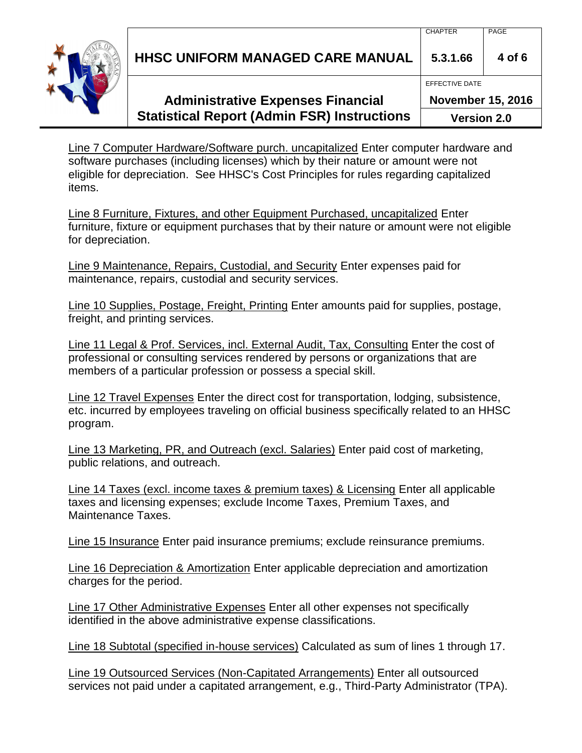**HHSC UNIFORM MANAGED CARE MANUAL 5.3.1.66 4 of 6**

## **Administrative Expenses Financial Statistical Report (Admin FSR) Instructions**

**November 15, 2016**

**Version 2.0**

Line 7 Computer Hardware/Software purch. uncapitalized Enter computer hardware and software purchases (including licenses) which by their nature or amount were not eligible for depreciation. See HHSC's Cost Principles for rules regarding capitalized items.

Line 8 Furniture, Fixtures, and other Equipment Purchased, uncapitalized Enter furniture, fixture or equipment purchases that by their nature or amount were not eligible for depreciation.

Line 9 Maintenance, Repairs, Custodial, and Security Enter expenses paid for maintenance, repairs, custodial and security services.

Line 10 Supplies, Postage, Freight, Printing Enter amounts paid for supplies, postage, freight, and printing services.

Line 11 Legal & Prof. Services, incl. External Audit, Tax, Consulting Enter the cost of professional or consulting services rendered by persons or organizations that are members of a particular profession or possess a special skill.

Line 12 Travel Expenses Enter the direct cost for transportation, lodging, subsistence, etc. incurred by employees traveling on official business specifically related to an HHSC program.

Line 13 Marketing, PR, and Outreach (excl. Salaries) Enter paid cost of marketing, public relations, and outreach.

Line 14 Taxes (excl. income taxes & premium taxes) & Licensing Enter all applicable taxes and licensing expenses; exclude Income Taxes, Premium Taxes, and Maintenance Taxes.

Line 15 Insurance Enter paid insurance premiums; exclude reinsurance premiums.

Line 16 Depreciation & Amortization Enter applicable depreciation and amortization charges for the period.

Line 17 Other Administrative Expenses Enter all other expenses not specifically identified in the above administrative expense classifications.

Line 18 Subtotal (specified in-house services) Calculated as sum of lines 1 through 17.

Line 19 Outsourced Services (Non-Capitated Arrangements) Enter all outsourced services not paid under a capitated arrangement, e.g., Third-Party Administrator (TPA).



EFFECTIVE DATE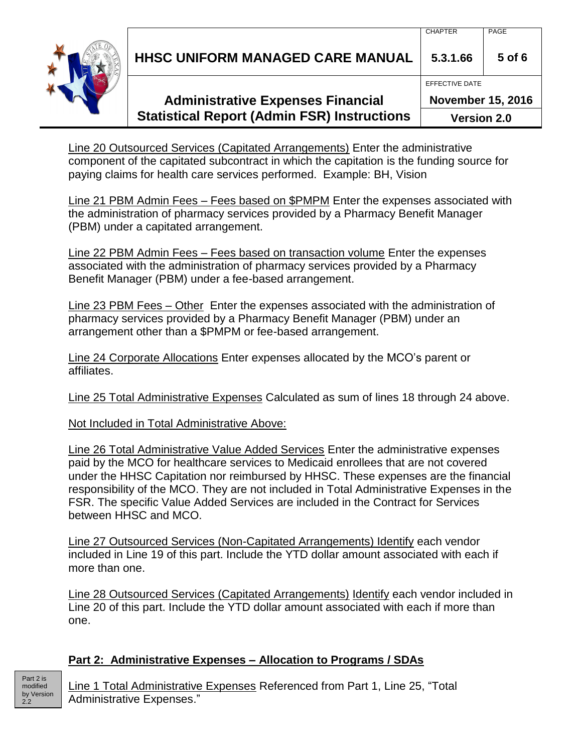**HHSC UNIFORM MANAGED CARE MANUAL 5.3.1.66 5 of 6**

# **Administrative Expenses Financial Statistical Report (Admin FSR) Instructions**

**November 15, 2016**

**Version 2.0**

Line 20 Outsourced Services (Capitated Arrangements) Enter the administrative component of the capitated subcontract in which the capitation is the funding source for paying claims for health care services performed. Example: BH, Vision

Line 21 PBM Admin Fees – Fees based on \$PMPM Enter the expenses associated with the administration of pharmacy services provided by a Pharmacy Benefit Manager (PBM) under a capitated arrangement.

Line 22 PBM Admin Fees – Fees based on transaction volume Enter the expenses associated with the administration of pharmacy services provided by a Pharmacy Benefit Manager (PBM) under a fee-based arrangement.

Line 23 PBM Fees – Other Enter the expenses associated with the administration of pharmacy services provided by a Pharmacy Benefit Manager (PBM) under an arrangement other than a \$PMPM or fee-based arrangement.

Line 24 Corporate Allocations Enter expenses allocated by the MCO's parent or affiliates.

Line 25 Total Administrative Expenses Calculated as sum of lines 18 through 24 above.

Not Included in Total Administrative Above:

Line 26 Total Administrative Value Added Services Enter the administrative expenses paid by the MCO for healthcare services to Medicaid enrollees that are not covered under the HHSC Capitation nor reimbursed by HHSC. These expenses are the financial responsibility of the MCO. They are not included in Total Administrative Expenses in the FSR. The specific Value Added Services are included in the Contract for Services between HHSC and MCO.

Line 27 Outsourced Services (Non-Capitated Arrangements) Identify each vendor included in Line 19 of this part. Include the YTD dollar amount associated with each if more than one.

Line 28 Outsourced Services (Capitated Arrangements) Identify each vendor included in Line 20 of this part. Include the YTD dollar amount associated with each if more than one.

### **Part 2: Administrative Expenses – Allocation to Programs / SDAs**

Line 1 Total Administrative Expenses Referenced from Part 1, Line 25, "Total Administrative Expenses."





EFFECTIVE DATE